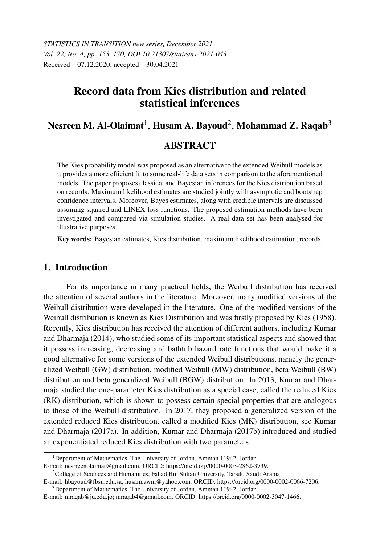*STATISTICS IN TRANSITION new series, December 2021 Vol. 22, No. 4, pp. 153–170, DOI 10.21307/stattrans-2021-043* Received – 07.12.2020; accepted – 30.04.2021

# Record data from Kies distribution and related statistical inferences

# Nesreen M. Al-Olaimat $^{\rm l}$ , Husam A. Bayoud $^{\rm 2}$ , Mohammad Z. Raqab $^{\rm 3}$

### **ABSTRACT**

The Kies probability model was proposed as an alternative to the extended Weibull models as it provides a more efficient fit to some real-life data sets in comparison to the aforementioned models. The paper proposes classical and Bayesian inferences for the Kies distribution based on records. Maximum likelihood estimates are studied jointly with asymptotic and bootstrap confidence intervals. Moreover, Bayes estimates, along with credible intervals are discussed assuming squared and LINEX loss functions. The proposed estimation methods have been investigated and compared via simulation studies. A real data set has been analysed for illustrative purposes.

Key words: Bayesian estimates, Kies distribution, maximum likelihood estimation, records.

## 1. Introduction

For its importance in many practical fields, the Weibull distribution has received the attention of several authors in the literature. Moreover, many modified versions of the Weibull distribution were developed in the literature. One of the modified versions of the Weibull distribution is known as Kies Distribution and was firstly proposed by Kies (1958). Recently, Kies distribution has received the attention of different authors, including Kumar and Dharmaja (2014), who studied some of its important statistical aspects and showed that it possess increasing, decreasing and bathtub hazard rate functions that would make it a good alternative for some versions of the extended Weibull distributions, namely the generalized Weibull (GW) distribution, modified Weibull (MW) distribution, beta Weibull (BW) distribution and beta generalized Weibull (BGW) distribution. In 2013, Kumar and Dharmaja studied the one-parameter Kies distribution as a special case, called the reduced Kies (RK) distribution, which is shown to possess certain special properties that are analogous to those of the Weibull distribution. In 2017, they proposed a generalized version of the extended reduced Kies distribution, called a modified Kies (MK) distribution, see Kumar and Dharmaja (2017a). In addition, Kumar and Dharmaja (2017b) introduced and studied an exponentiated reduced Kies distribution with two parameters.

<sup>&</sup>lt;sup>1</sup>Department of Mathematics, The University of Jordan, Amman 11942, Jordan. E-mail: nesrreenolaimat@gmail.com. ORCID: https://orcid.org/0000-0003-2862-3739.

<sup>&</sup>lt;sup>2</sup>College of Sciences and Humanities, Fahad Bin Sultan University, Tabuk, Saudi Arabia.

E-mail: hbayoud@fbsu.edu.sa; husam.awni@yahoo.com. ORCID: https://orcid.org/0000-0002-0066-7206.

<sup>3</sup>Department of Mathematics, The University of Jordan, Amman 11942, Jordan.

E-mail: mraqab@ju.edu.jo; mraqab4@gmail.com. ORCID: https://orcid.org/0000-0002-3047-1466.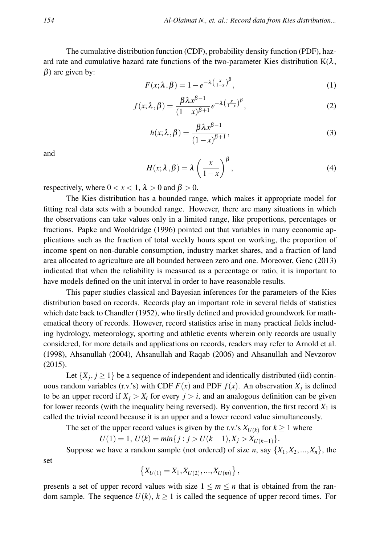The cumulative distribution function (CDF), probability density function (PDF), hazard rate and cumulative hazard rate functions of the two-parameter Kies distribution  $K(\lambda)$ ,  $\beta$ ) are given by:

$$
F(x; \lambda, \beta) = 1 - e^{-\lambda \left(\frac{x}{1-x}\right)^{\beta}}, \tag{1}
$$

$$
f(x; \lambda, \beta) = \frac{\beta \lambda x^{\beta - 1}}{(1 - x)^{\beta + 1}} e^{-\lambda \left(\frac{x}{1 - x}\right)^{\beta}},
$$
\n(2)

$$
h(x; \lambda, \beta) = \frac{\beta \lambda x^{\beta - 1}}{(1 - x)^{\beta + 1}},
$$
\n(3)

and

set

$$
H(x; \lambda, \beta) = \lambda \left(\frac{x}{1-x}\right)^{\beta}, \tag{4}
$$

respectively, where  $0 < x < 1$ ,  $\lambda > 0$  and  $\beta > 0$ .

The Kies distribution has a bounded range, which makes it appropriate model for fitting real data sets with a bounded range. However, there are many situations in which the observations can take values only in a limited range, like proportions, percentages or fractions. Papke and Wooldridge (1996) pointed out that variables in many economic applications such as the fraction of total weekly hours spent on working, the proportion of income spent on non-durable consumption, industry market shares, and a fraction of land area allocated to agriculture are all bounded between zero and one. Moreover, Genc (2013) indicated that when the reliability is measured as a percentage or ratio, it is important to have models defined on the unit interval in order to have reasonable results.

This paper studies classical and Bayesian inferences for the parameters of the Kies distribution based on records. Records play an important role in several fields of statistics which date back to Chandler (1952), who firstly defined and provided groundwork for mathematical theory of records. However, record statistics arise in many practical fields including hydrology, meteorology, sporting and athletic events wherein only records are usually considered, for more details and applications on records, readers may refer to Arnold et al. (1998), Ahsanullah (2004), Ahsanullah and Raqab (2006) and Ahsanullah and Nevzorov (2015).

Let  $\{X_j, j \geq 1\}$  be a sequence of independent and identically distributed (iid) continuous random variables (r.v.'s) with CDF  $F(x)$  and PDF  $f(x)$ . An observation  $X_j$  is defined to be an upper record if  $X_i > X_i$  for every  $j > i$ , and an analogous definition can be given for lower records (with the inequality being reversed). By convention, the first record  $X_1$  is called the trivial record because it is an upper and a lower record value simultaneously.

The set of the upper record values is given by the r.v.'s  $X_{U(k)}$  for  $k \ge 1$  where

$$
U(1) = 1, U(k) = min\{j : j > U(k-1), X_j > X_{U(k-1)}\}.
$$

Suppose we have a random sample (not ordered) of size *n*, say  $\{X_1, X_2, ..., X_n\}$ , the

 $\{X_{U(1)} = X_1, X_{U(2)}, ..., X_{U(m)}\},\$ 

presents a set of upper record values with size  $1 \le m \le n$  that is obtained from the random sample. The sequence  $U(k)$ ,  $k \ge 1$  is called the sequence of upper record times. For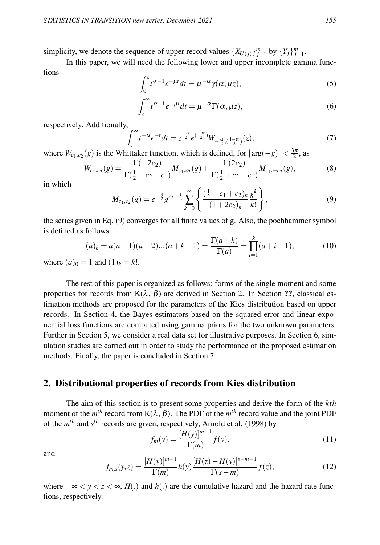simplicity, we denote the sequence of upper record values  $\{X_{U(j)}\}_{j=1}^m$  by  $\{Y_j\}_{j=1}^m$ .

In this paper, we will need the following lower and upper incomplete gamma functions

$$
\int_0^z t^{\alpha-1} e^{-\mu t} dt = \mu^{-\alpha} \gamma(\alpha, \mu z), \tag{5}
$$

$$
\int_{z}^{\infty} t^{\alpha-1} e^{-\mu t} dt = \mu^{-\alpha} \Gamma(\alpha, \mu z), \tag{6}
$$

respectively. Additionally,

$$
\int_{z}^{\infty} t^{-\alpha} e^{-t} dt = z^{\frac{-\alpha}{2}} e^{(\frac{-\alpha}{2})} W_{-\frac{\alpha}{2}, (\frac{1-\alpha}{2})}(z),
$$
\n(7)

where  $W_{c_1,c_2}(g)$  is the Whittaker function, which is defined, for  $|\arg(-g)| < \frac{3\pi}{2}$ , as

$$
W_{c_1,c_2}(g) = \frac{\Gamma(-2c_2)}{\Gamma(\frac{1}{2}-c_2-c_1)} M_{c_1,c_2}(g) + \frac{\Gamma(2c_2)}{\Gamma(\frac{1}{2}+c_2-c_1)} M_{c_1,-c_2}(g),
$$
(8)

in which

$$
M_{c_1,c_2}(g) = e^{-\frac{g}{2}} g^{c_2 + \frac{1}{2}} \sum_{k=0}^{\infty} \left\{ \frac{\left(\frac{1}{2} - c_1 + c_2\right)_k}{\left(1 + 2c_2\right)_k} \frac{g^k}{k!} \right\},\tag{9}
$$

the series given in Eq. (9) converges for all finite values of g. Also, the pochhammer symbol is defined as follows:

$$
(a)_k = a(a+1)(a+2)...(a+k-1) = \frac{\Gamma(a+k)}{\Gamma(a)} = \prod_{i=1}^k (a+i-1),
$$
\n(10)

where  $(a)_0 = 1$  and  $(1)_k = k!$ .

The rest of this paper is organized as follows: forms of the single moment and some properties for records from  $K(\lambda, \beta)$  are derived in Section 2. In Section ??, classical estimation methods are proposed for the parameters of the Kies distribution based on upper records. In Section 4, the Bayes estimators based on the squared error and linear exponential loss functions are computed using gamma priors for the two unknown parameters. Further in Section 5, we consider a real data set for illustrative purposes. In Section 6, simulation studies are carried out in order to study the performance of the proposed estimation methods. Finally, the paper is concluded in Section 7.

# 2. Distributional properties of records from Kies distribution

The aim of this section is to present some properties and derive the form of the *kth* moment of the  $m<sup>th</sup>$  record from K( $\lambda$ ,  $\beta$ ). The PDF of the  $m<sup>th</sup>$  record value and the joint PDF of the *m th* and *s th* records are given, respectively, Arnold et al. (1998) by

$$
f_m(y) = \frac{[H(y)]^{m-1}}{\Gamma(m)} f(y),
$$
\n(11)

and

$$
f_{m,s}(y,z) = \frac{[H(y)]^{m-1}}{\Gamma(m)} h(y) \frac{[H(z) - H(y)]^{s-m-1}}{\Gamma(s-m)} f(z),
$$
\n(12)

where  $-\infty < y < z < \infty$ , *H*(.) and *h*(.) are the cumulative hazard and the hazard rate functions, respectively.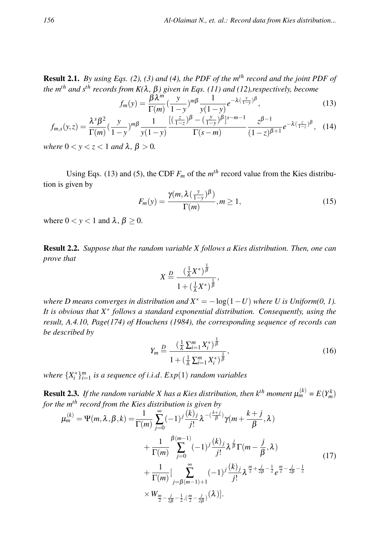Result 2.1. *By using Eqs. (2), (3) and (4), the PDF of the mth record and the joint PDF of the mth and sth records from K(*λ*,* β*) given in Eqs. (11) and (12),respectively, become*

$$
f_m(y) = \frac{\beta \lambda^m}{\Gamma(m)} \left(\frac{y}{1-y}\right)^{m\beta} \frac{1}{y(1-y)} e^{-\lambda \left(\frac{y}{1-y}\right)^{\beta}},\tag{13}
$$

$$
f_{m,s}(y,z) = \frac{\lambda^s \beta^2}{\Gamma(m)} \left(\frac{y}{1-y}\right)^{m\beta} \frac{1}{y(1-y)} \frac{\left[\left(\frac{z}{1-z}\right)^{\beta} - \left(\frac{y}{1-y}\right)^{\beta}\right]^{s-m-1}}{\Gamma(s-m)} \frac{z^{\beta-1}}{(1-z)^{\beta+1}} e^{-\lambda \left(\frac{z}{1-z}\right)^{\beta}}, \quad (14)
$$

*where*  $0 < y < z < 1$  *and*  $\lambda$ ,  $\beta > 0$ *.* 

Using Eqs. (13) and (5), the CDF  $F_m$  of the  $m<sup>th</sup>$  record value from the Kies distribution is given by

$$
F_m(y) = \frac{\gamma(m, \lambda(\frac{y}{1-y})^{\beta})}{\Gamma(m)}, m \ge 1,
$$
\n(15)

where  $0 < y < 1$  and  $\lambda, \beta \ge 0$ .

Result 2.2. *Suppose that the random variable X follows a Kies distribution. Then, one can prove that*

$$
X \stackrel{D}{=} \frac{\left(\frac{1}{\lambda}X^*\right)^{\frac{1}{\beta}}}{1 + \left(\frac{1}{\lambda}X^*\right)^{\frac{1}{\beta}}},
$$

*where D means converges in distribution and*  $X^* = -\log(1-U)$  *where U is Uniform(0, 1). It is obvious that X*<sup>∗</sup> *follows a standard exponential distribution. Consequently, using the result, A.4.10, Page(174) of Houchens (1984), the corresponding sequence of records can be described by*

$$
Y_m \stackrel{D}{=} \frac{\left(\frac{1}{\lambda} \sum_{i=1}^m X_i^*\right)^{\frac{1}{\beta}}}{1 + \left(\frac{1}{\lambda} \sum_{i=1}^m X_i^*\right)^{\frac{1}{\beta}}},\tag{16}
$$

*where*  $\{X_i^*\}_{i=1}^m$  *is a sequence of i.i.d.*  $Exp(1)$  *random variables* 

**Result 2.3.** If the random variable X has a Kies distribution, then  $k^{th}$  moment  $\mu_m^{(k)} = E(Y_m^k)$ *for the mth record from the Kies distribution is given by*

$$
\mu_{m}^{(k)} = \Psi(m, \lambda, \beta, k) = \frac{1}{\Gamma(m)} \sum_{j=0}^{\infty} (-1)^{j} \frac{(k)_{j}}{j!} \lambda^{-(\frac{k+j}{\beta})} \gamma(m + \frac{k+j}{\beta}, \lambda)
$$
  
+ 
$$
\frac{1}{\Gamma(m)} \sum_{j=0}^{\beta(m-1)} (-1)^{j} \frac{(k)_{j}}{j!} \lambda^{\frac{j}{\beta}} \Gamma(m - \frac{j}{\beta}, \lambda)
$$
  
+ 
$$
\frac{1}{\Gamma(m)} \Big[ \sum_{j=\beta(m-1)+1}^{\infty} (-1)^{j} \frac{(k)_{j}}{j!} \lambda^{\frac{m}{2} + \frac{j}{2\beta} - \frac{1}{2}} e^{\frac{m}{2} - \frac{j}{2\beta} - \frac{1}{2}}
$$
  
×  $W_{\frac{m}{2} - \frac{j}{2\beta} - \frac{1}{2}, (\frac{m}{2} - \frac{j}{2\beta})}(\lambda)].$  (17)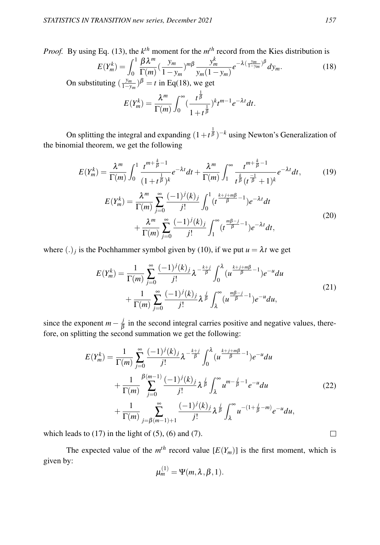*Proof.* By using Eq. (13), the  $k^{th}$  moment for the  $m^{th}$  record from the Kies distribution is

$$
E(Y_m^k) = \int_0^1 \frac{\beta \lambda^m}{\Gamma(m)} \left(\frac{y_m}{1 - y_m}\right)^{m\beta} \frac{y_m^k}{y_m(1 - y_m)} e^{-\lambda \left(\frac{y_m}{1 - y_m}\right)^{\beta}} dy_m.
$$
 (18)

On substituting  $\left(\frac{y_m}{1-y_m}\right)^{\beta} = t$  in Eq(18), we get

$$
E(Y_m^k) = \frac{\lambda^m}{\Gamma(m)} \int_0^\infty \left(\frac{t^{\frac{1}{\beta}}}{1+t^{\frac{1}{\beta}}}\right)^k t^{m-1} e^{-\lambda t} dt.
$$

On splitting the integral and expanding  $(1+t^{\frac{1}{\beta}})^{-k}$  using Newton's Generalization of the binomial theorem, we get the following

$$
E(Y_m^k) = \frac{\lambda^m}{\Gamma(m)} \int_0^1 \frac{t^{m + \frac{k}{\beta} - 1}}{(1 + t^{\frac{1}{\beta}})^k} e^{-\lambda t} dt + \frac{\lambda^m}{\Gamma(m)} \int_1^\infty \frac{t^{m + \frac{k}{\beta} - 1}}{t^{\frac{k}{\beta}} (t^{\frac{-1}{\beta}} + 1)^k} e^{-\lambda t} dt,
$$
(19)  

$$
E(Y_m^k) = \frac{\lambda^m}{\Gamma(m)} \sum_{j=0}^\infty \frac{(-1)^j (k)_j}{j!} \int_0^1 (t^{\frac{k + j + m\beta}{\beta} - 1}) e^{-\lambda t} dt + \frac{\lambda^m}{\Gamma(m)} \sum_{j=0}^\infty \frac{(-1)^j (k)_j}{j!} \int_1^\infty (t^{\frac{m\beta - j}{\beta} - 1}) e^{-\lambda t} dt,
$$
(20)

where  $(.)_j$  is the Pochhammer symbol given by (10), if we put  $u = \lambda t$  we get

$$
E(Y_m^k) = \frac{1}{\Gamma(m)} \sum_{j=0}^{\infty} \frac{(-1)^j (k)_j}{j!} \lambda^{-\frac{k+j}{\beta}} \int_0^{\lambda} (u^{\frac{k+j+m\beta}{\beta}-1}) e^{-u} du + \frac{1}{\Gamma(m)} \sum_{j=0}^{\infty} \frac{(-1)^j (k)_j}{j!} \lambda^{\frac{j}{\beta}} \int_{\lambda}^{\infty} (u^{\frac{m\beta-j}{\beta}-1}) e^{-u} du,
$$
(21)

since the exponent  $m - \frac{j}{\beta}$  $\frac{J}{\beta}$  in the second integral carries positive and negative values, therefore, on splitting the second summation we get the following:

$$
E(Y_m^k) = \frac{1}{\Gamma(m)} \sum_{j=0}^{\infty} \frac{(-1)^j(k)_j}{j!} \lambda^{-\frac{k+j}{\beta}} \int_0^{\lambda} (u^{\frac{k+j+m\beta}{\beta}-1}) e^{-u} du
$$
  
+ 
$$
\frac{1}{\Gamma(m)} \sum_{j=0}^{\beta(m-1)} \frac{(-1)^j(k)_j}{j!} \lambda^{\frac{j}{\beta}} \int_{\lambda}^{\infty} u^{m-\frac{j}{\beta}-1} e^{-u} du
$$
  
+ 
$$
\frac{1}{\Gamma(m)} \sum_{j=\beta(m-1)+1}^{\infty} \frac{(-1)^j(k)_j}{j!} \lambda^{\frac{j}{\beta}} \int_{\lambda}^{\infty} u^{-(1+\frac{j}{\beta}-m)} e^{-u} du,
$$
 (22)

which leads to  $(17)$  in the light of  $(5)$ ,  $(6)$  and  $(7)$ .

The expected value of the  $m<sup>th</sup>$  record value  $[E(Y_m)]$  is the first moment, which is given by:

$$
\mu_m^{(1)} = \Psi(m, \lambda, \beta, 1).
$$

 $\Box$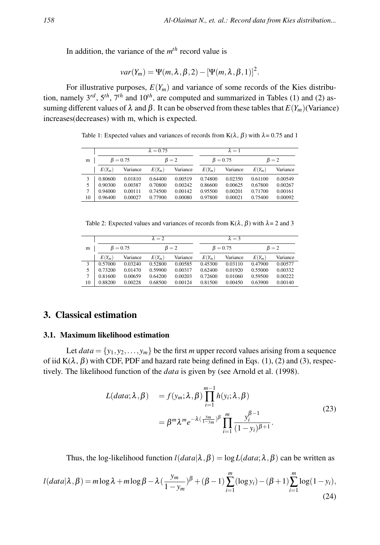In addition, the variance of the *m th* record value is

$$
var(Y_m) = \Psi(m, \lambda, \beta, 2) - [\Psi(m, \lambda, \beta, 1)]^2.
$$

For illustrative purposes,  $E(Y_m)$  and variance of some records of the Kies distribution, namely 3*rd*, 5*th*, 7*th* and 10*th*, are computed and summarized in Tables (1) and (2) assuming different values of  $\lambda$  and  $\beta$ . It can be observed from these tables that  $E(Y_m)(\text{Variance})$ increases(decreases) with m, which is expected.

Table 1: Expected values and variances of records from  $K(\lambda, \beta)$  with  $\lambda = 0.75$  and 1

|    |          |                | $\lambda = 0.75$ |             |          | $\lambda = 1$  |             |          |  |
|----|----------|----------------|------------------|-------------|----------|----------------|-------------|----------|--|
| m  |          | $\beta = 0.75$ |                  | $\beta = 2$ |          | $\beta = 0.75$ | $\beta = 2$ |          |  |
|    | $E(Y_m)$ | Variance       | $E(Y_m)$         | Variance    | $E(Y_m)$ | Variance       | $E(Y_m)$    | Variance |  |
|    | 0.80600  | 0.01810        | 0.64400          | 0.00519     | 0.74800  | 0.02350        | 0.61100     | 0.00549  |  |
| 5  | 0.90300  | 0.00387        | 0.70800          | 0.00242     | 0.86600  | 0.00625        | 0.67800     | 0.00267  |  |
| 7  | 0.94000  | 0.00111        | 0.74500          | 0.00142     | 0.95500  | 0.00201        | 0.71700     | 0.00161  |  |
| 10 | 0.96400  | 0.00027        | 0.77900          | 0.00080     | 0.97800  | 0.00021        | 0.75400     | 0.00092  |  |

Table 2: Expected values and variances of records from  $K(\lambda, \beta)$  with  $\lambda = 2$  and 3

|    |          |                | $\lambda = 2$ |             |          | $\lambda = 3$  |             |          |  |
|----|----------|----------------|---------------|-------------|----------|----------------|-------------|----------|--|
| m  |          | $\beta = 0.75$ |               | $\beta = 2$ |          | $\beta = 0.75$ | $\beta = 2$ |          |  |
|    | $E(Y_m)$ | Variance       | $E(Y_m)$      | Variance    | $E(Y_m)$ | Variance       | $E(Y_m)$    | Variance |  |
| 3  | 0.57000  | 0.03240        | 0.52800       | 0.00585     | 0.45300  | 0.03110        | 0.47900     | 0.00577  |  |
| 5  | 0.73200  | 0.01470        | 0.59900       | 0.00317     | 0.62400  | 0.01920        | 0.55000     | 0.00332  |  |
| 7  | 0.81600  | 0.00659        | 0.64200       | 0.00203     | 0.72600  | 0.01060        | 0.59500     | 0.00222  |  |
| 10 | 0.88200  | 0.00228        | 0.68500       | 0.00124     | 0.81500  | 0.00450        | 0.63900     | 0.00140  |  |

## 3. Classical estimation

#### 3.1. Maximum likelihood estimation

Let  $data = \{y_1, y_2, \ldots, y_m\}$  be the first *m* upper record values arising from a sequence of iid  $K(\lambda, \beta)$  with CDF, PDF and hazard rate being defined in Eqs. (1), (2) and (3), respectively. The likelihood function of the *data* is given by (see Arnold et al. (1998).

$$
L(data; \lambda, \beta) = f(y_m; \lambda, \beta) \prod_{i=1}^{m-1} h(y_i; \lambda, \beta)
$$
  
=  $\beta^m \lambda^m e^{-\lambda(\frac{y_m}{1-y_m})\beta} \prod_{i=1}^m \frac{y_i^{\beta-1}}{(1-y_i)^{\beta+1}}.$  (23)

Thus, the log-likelihood function  $l(data|\lambda, \beta) = \log L(data; \lambda, \beta)$  can be written as

$$
l(data|\lambda, \beta) = m \log \lambda + m \log \beta - \lambda \left(\frac{y_m}{1 - y_m}\right)^{\beta} + (\beta - 1) \sum_{i=1}^{m} (\log y_i) - (\beta + 1) \sum_{i=1}^{m} \log(1 - y_i),\tag{24}
$$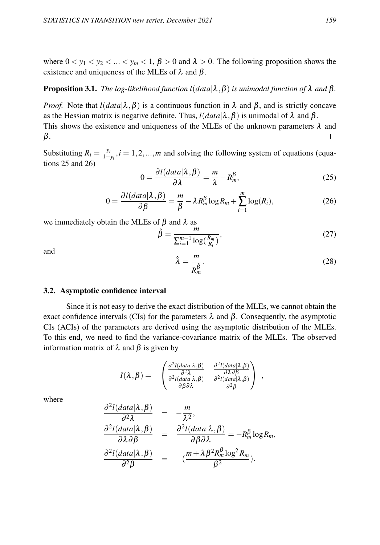where  $0 < y_1 < y_2 < ... < y_m < 1$ ,  $\beta > 0$  and  $\lambda > 0$ . The following proposition shows the existence and uniqueness of the MLEs of  $\lambda$  and  $\beta$ .

#### **Proposition 3.1.** *The log-likelihood function l(data*|λ, β) *is unimodal function of* λ *and* β.

*Proof.* Note that  $l(data|\lambda, \beta)$  is a continuous function in  $\lambda$  and  $\beta$ , and is strictly concave as the Hessian matrix is negative definite. Thus,  $l(data|\lambda, \beta)$  is unimodal of  $\lambda$  and  $\beta$ . This shows the existence and uniqueness of the MLEs of the unknown parameters  $\lambda$  and  $\Box$ β.

Substituting  $R_i = \frac{y_i}{1-y_i}$ ,  $i = 1, 2, ..., m$  and solving the following system of equations (equations 25 and 26)

$$
0 = \frac{\partial l(data|\lambda, \beta)}{\partial \lambda} = \frac{m}{\lambda} - R_m^{\beta},\tag{25}
$$

$$
0 = \frac{\partial l(data|\lambda, \beta)}{\partial \beta} = \frac{m}{\beta} - \lambda R_m^{\beta} \log R_m + \sum_{i=1}^{m} \log(R_i), \tag{26}
$$

we immediately obtain the MLEs of  $\beta$  and  $\lambda$  as

$$
\hat{\beta} = \frac{m}{\sum_{i=1}^{m-1} \log\left(\frac{R_m}{R_i}\right)},\tag{27}
$$

and

$$
\hat{\lambda} = \frac{m}{R_m^{\hat{\beta}}}.
$$
\n(28)

#### 3.2. Asymptotic confidence interval

Since it is not easy to derive the exact distribution of the MLEs, we cannot obtain the exact confidence intervals (CIs) for the parameters  $\lambda$  and  $\beta$ . Consequently, the asymptotic CIs (ACIs) of the parameters are derived using the asymptotic distribution of the MLEs. To this end, we need to find the variance-covariance matrix of the MLEs. The observed information matrix of  $\lambda$  and  $\beta$  is given by

$$
I(\lambda, \beta) = -\begin{pmatrix} \frac{\partial^2 l(data|\lambda, \beta)}{\partial^2 \lambda} & \frac{\partial^2 l(data|\lambda, \beta)}{\partial \lambda \partial \beta} \\ \frac{\partial^2 l(data|\lambda, \beta)}{\partial \beta \partial \lambda} & \frac{\partial^2 l(data|\lambda, \beta)}{\partial^2 \beta} \end{pmatrix} ,
$$

where

$$
\frac{\partial^2 l(data|\lambda, \beta)}{\partial^2 \lambda} = -\frac{m}{\lambda^2},
$$
\n
$$
\frac{\partial^2 l(data|\lambda, \beta)}{\partial \lambda \partial \beta} = \frac{\partial^2 l(data|\lambda, \beta)}{\partial \beta \partial \lambda} = -R_m^{\beta} \log R_m,
$$
\n
$$
\frac{\partial^2 l(data|\lambda, \beta)}{\partial^2 \beta} = -(\frac{m + \lambda \beta^2 R_m^{\beta} \log^2 R_m}{\beta^2}).
$$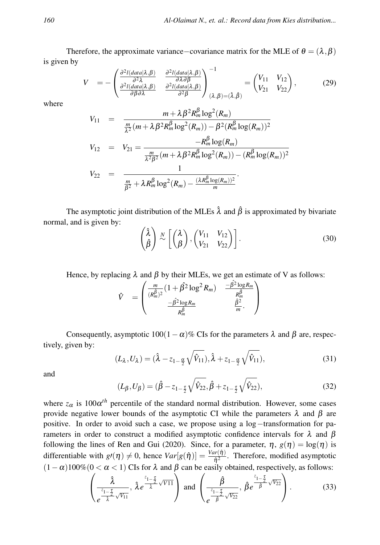Therefore, the approximate variance–covariance matrix for the MLE of  $\theta = (\lambda, \beta)$ is given by

$$
V = -\begin{pmatrix} \frac{\partial^2 l(data|\lambda,\beta)}{\partial^2 \lambda} & \frac{\partial^2 l(data|\lambda,\beta)}{\partial \lambda \partial \beta} \\ \frac{\partial^2 l(data|\lambda,\beta)}{\partial \beta \partial \lambda} & \frac{\partial^2 l(data|\lambda,\beta)}{\partial^2 \beta} \end{pmatrix}_{(\lambda,\beta)=(\hat{\lambda},\hat{\beta})}^{-1} = \begin{pmatrix} V_{11} & V_{12} \\ V_{21} & V_{22} \end{pmatrix},
$$
(29)

β

where

$$
V_{11} = \frac{m + \lambda \beta^2 R_m^{\beta} \log^2(R_m)}{\frac{m}{\lambda^2} (m + \lambda \beta^2 R_m^{\beta} \log^2(R_m)) - \beta^2 (R_m^{\beta} \log(R_m))^2}
$$
  
\n
$$
V_{12} = V_{21} = \frac{-R_m^{\beta} \log(R_m)}{\frac{m}{\lambda^2 \beta^2} (m + \lambda \beta^2 R_m^{\beta} \log^2(R_m)) - (R_m^{\beta} \log(R_m))^2}
$$
  
\n
$$
V_{22} = \frac{1}{\frac{m}{\beta^2} + \lambda R_m^{\beta} \log^2(R_m) - \frac{(\lambda R_m^{\beta} \log(R_m))^2}{m}}.
$$

The asymptotic joint distribution of the MLEs  $\hat{\lambda}$  and  $\hat{\beta}$  is approximated by bivariate normal, and is given by:

$$
\begin{pmatrix}\n\hat{\lambda} \\
\hat{\beta}\n\end{pmatrix}\n\stackrel{N}{\sim}\n\begin{bmatrix}\n\begin{pmatrix}\n\lambda \\
\beta\n\end{pmatrix},\n\begin{pmatrix}\nV_{11} & V_{12} \\
V_{21} & V_{22}\n\end{pmatrix}.
$$
\n(30)

Hence, by replacing  $\lambda$  and  $\beta$  by their MLEs, we get an estimate of V as follows:

$$
\hat{V} = \begin{pmatrix} \frac{m}{(R_m^{\hat{\beta}})^2} (1 + \hat{\beta}^2 \log^2 R_m) & \frac{-\hat{\beta}^2 \log R_m}{R_m^{\hat{\beta}}} \\ \frac{-\hat{\beta}^2 \log R_m}{R_m^{\hat{\beta}}} & \frac{\hat{\beta}^2}{m} \end{pmatrix}
$$

Consequently, asymptotic  $100(1-\alpha)\%$  CIs for the parameters  $\lambda$  and  $\beta$  are, respectively, given by:

$$
(L_{\lambda}, U_{\lambda}) = (\hat{\lambda} - z_{1-\frac{\alpha}{2}}\sqrt{\hat{V}_{11}}), \hat{\lambda} + z_{1-\frac{\alpha}{2}}\sqrt{\hat{V}_{11}}),
$$
\n(31)

and

$$
(L_{\beta}, U_{\beta}) = (\hat{\beta} - z_{1-\frac{\tau}{2}}\sqrt{\hat{V}_{22}}, \hat{\beta} + z_{1-\frac{\tau}{2}}\sqrt{\hat{V}_{22}}),
$$
\n(32)

where  $z_{\alpha}$  is  $100\alpha^{th}$  percentile of the standard normal distribution. However, some cases provide negative lower bounds of the asymptotic CI while the parameters  $\lambda$  and  $\beta$  are positive. In order to avoid such a case, we propose using a log−transformation for parameters in order to construct a modified asymptotic confidence intervals for λ and β following the lines of Ren and Gui (2020). Since, for a parameter,  $\eta$ ,  $g(\eta) = \log(\eta)$  is differentiable with  $g'(\eta) \neq 0$ , hence  $Var[g(\hat{\eta})] = \frac{Var(\hat{\eta})}{\hat{\eta}^2}$ . Therefore, modified asymptotic  $(1 - \alpha)100\%(0 < \alpha < 1)$  CIs for  $\lambda$  and  $\beta$  can be easily obtained, respectively, as follows:

$$
\left(\frac{\hat{\lambda}}{e^{\frac{z_{1-\frac{\tau}{2}}}{\hat{\lambda}}\sqrt{V_{11}}}},\ \hat{\lambda}e^{\frac{z_{1-\frac{\tau}{2}}}{\hat{\lambda}}\sqrt{V_{11}}}\right) \text{ and } \left(\frac{\hat{\beta}}{e^{\frac{z_{1-\frac{\tau}{2}}}{\hat{\beta}}\sqrt{V_{22}}}},\ \hat{\beta}e^{\frac{z_{1-\frac{\tau}{2}}}{\hat{\beta}}\sqrt{V_{22}}}\right).
$$
(33)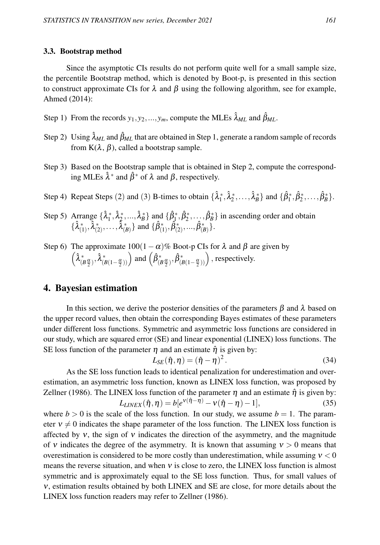#### 3.3. Bootstrap method

Since the asymptotic CIs results do not perform quite well for a small sample size, the percentile Bootstrap method, which is denoted by Boot-p, is presented in this section to construct approximate CIs for  $\lambda$  and  $\beta$  using the following algorithm, see for example, Ahmed (2014):

- Step 1) From the records  $y_1, y_2, ..., y_m$ , compute the MLEs  $\hat{\lambda}_{ML}$  and  $\hat{\beta}_{ML}$ .
- Step 2) Using  $\hat{\lambda}_{ML}$  and  $\hat{\beta}_{ML}$  that are obtained in Step 1, generate a random sample of records from  $K(\lambda, \beta)$ , called a bootstrap sample.
- Step 3) Based on the Bootstrap sample that is obtained in Step 2, compute the corresponding MLEs  $\hat{\lambda}^*$  and  $\hat{\beta}^*$  of  $\lambda$  and  $\beta$ , respectively.
- Step 4) Repeat Steps (2) and (3) B-times to obtain  $\{\hat{\lambda}_1^*, \hat{\lambda}_2^*, \dots, \hat{\lambda}_B^*\}$  and  $\{\hat{\beta}_1^*, \hat{\beta}_2^*, \dots, \hat{\beta}_B^*\}$ .
- Step 5) Arrange  $\{\hat{\lambda}_1^*, \hat{\lambda}_2^*, ..., \hat{\lambda}_B^*\}$  and  $\{\hat{\beta}_1^*, \hat{\beta}_2^*, ..., \hat{\beta}_B^*\}$  in ascending order and obtain  $\{\hat{\lambda}_{(1)}^*, \hat{\lambda}_{(2)}^*, \ldots, \hat{\lambda}_{(B)}^*\}$  and  $\{\hat{\beta}_{(1)}^*, \hat{\beta}_{(2)}^*, \ldots, \hat{\beta}_{(B)}^*\}$ .
- Step 6) The approximate  $100(1-\alpha)\%$  Boot-p CIs for  $\lambda$  and  $\beta$  are given by  $\left(\hat{\lambda}_{(B\frac{\alpha}{2})}^*,\hat{\lambda}_{(B(1-\frac{\alpha}{2}))}^*\right)$  and  $\left(\hat{\beta}_{(B\frac{\alpha}{2})}^*,\hat{\beta}_{(B(1-\frac{\alpha}{2}))}^*\right)$ , respectively.

### 4. Bayesian estimation

In this section, we derive the posterior densities of the parameters  $\beta$  and  $\lambda$  based on the upper record values, then obtain the corresponding Bayes estimates of these parameters under different loss functions. Symmetric and asymmetric loss functions are considered in our study, which are squared error (SE) and linear exponential (LINEX) loss functions. The SE loss function of the parameter  $\eta$  and an estimate  $\hat{\eta}$  is given by:

$$
L_{SE}(\hat{\eta}, \eta) = (\hat{\eta} - \eta)^2.
$$
 (34)

As the SE loss function leads to identical penalization for underestimation and overestimation, an asymmetric loss function, known as LINEX loss function, was proposed by Zellner (1986). The LINEX loss function of the parameter  $\eta$  and an estimate  $\hat{\eta}$  is given by:

$$
L_{LINEX}(\hat{\eta}, \eta) = b[e^{\nu(\hat{\eta} - \eta)} - \nu(\hat{\eta} - \eta) - 1],
$$
\n(35)

where  $b > 0$  is the scale of the loss function. In our study, we assume  $b = 1$ . The parameter  $v \neq 0$  indicates the shape parameter of the loss function. The LINEX loss function is affected by  $v$ , the sign of  $v$  indicates the direction of the asymmetry, and the magnitude of v indicates the degree of the asymmetry. It is known that assuming  $v > 0$  means that overestimation is considered to be more costly than underestimation, while assuming  $v < 0$ means the reverse situation, and when ν is close to zero, the LINEX loss function is almost symmetric and is approximately equal to the SE loss function. Thus, for small values of ν, estimation results obtained by both LINEX and SE are close, for more details about the LINEX loss function readers may refer to Zellner (1986).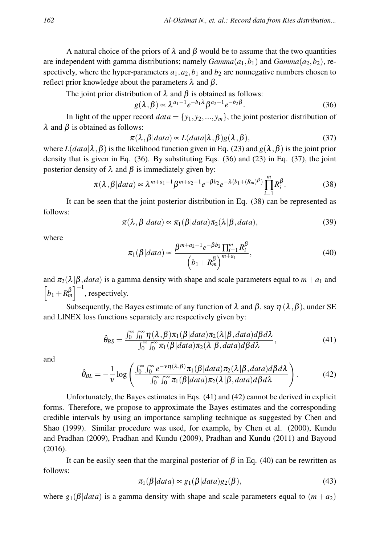A natural choice of the priors of  $\lambda$  and  $\beta$  would be to assume that the two quantities are independent with gamma distributions; namely  $Gamma(a_1, b_1)$  and  $Gamma(a_2, b_2)$ , respectively, where the hyper-parameters  $a_1$ ,  $a_2$ ,  $b_1$  and  $b_2$  are nonnegative numbers chosen to reflect prior knowledge about the parameters  $λ$  and  $β$ .

The joint prior distribution of  $\lambda$  and  $\beta$  is obtained as follows:

$$
g(\lambda, \beta) \propto \lambda^{a_1 - 1} e^{-b_1 \lambda} \beta^{a_2 - 1} e^{-b_2 \beta}.
$$
 (36)

In light of the upper record  $data = \{y_1, y_2, ..., y_m\}$ , the joint posterior distribution of  $λ$  and  $β$  is obtained as follows:

$$
\pi(\lambda, \beta | data) \propto L(data | \lambda, \beta) g(\lambda, \beta), \tag{37}
$$

where  $L(data|\lambda, \beta)$  is the likelihood function given in Eq. (23) and  $g(\lambda, \beta)$  is the joint prior density that is given in Eq. (36). By substituting Eqs. (36) and (23) in Eq. (37), the joint posterior density of  $\lambda$  and  $\beta$  is immediately given by:

$$
\pi(\lambda, \beta | data) \propto \lambda^{m+a_1-1} \beta^{m+a_2-1} e^{-\beta b_2} e^{-\lambda (b_1 + (R_m)^{\beta})} \prod_{i=1}^m R_i^{\beta}.
$$
 (38)

It can be seen that the joint posterior distribution in Eq. (38) can be represented as follows:

$$
\pi(\lambda, \beta | data) \propto \pi_1(\beta | data) \pi_2(\lambda | \beta, data), \tag{39}
$$

where

$$
\pi_1(\beta|data) \propto \frac{\beta^{m+a_2-1}e^{-\beta b_2}\prod_{i=1}^m R_i^{\beta}}{\left(b_1 + R_m^{\beta}\right)^{m+a_1}},\tag{40}
$$

and  $\pi_2(\lambda|\beta, data)$  is a gamma density with shape and scale parameters equal to  $m + a_1$  and  $\left[b_1 + R_m^{\beta}\right]^{-1}$ , respectively.

Subsequently, the Bayes estimate of any function of  $\lambda$  and  $\beta$ , say  $\eta$  ( $\lambda$ , $\beta$ ), under SE and LINEX loss functions separately are respectively given by:

$$
\hat{\theta}_{BS} = \frac{\int_0^\infty \int_0^\infty \eta(\lambda, \beta) \pi_1(\beta|data) \pi_2(\lambda|\beta, data) d\beta d\lambda}{\int_0^\infty \int_0^\infty \pi_1(\beta|data) \pi_2(\lambda|\beta, data) d\beta d\lambda},
$$
\n(41)

and

$$
\hat{\theta}_{BL} = -\frac{1}{v} \log \left( \frac{\int_0^\infty \int_0^\infty e^{-v\eta(\lambda,\beta)} \pi_1(\beta|data) \pi_2(\lambda|\beta,data) d\beta d\lambda}{\int_0^\infty \int_0^\infty \pi_1(\beta|data) \pi_2(\lambda|\beta,data) d\beta d\lambda} \right). \tag{42}
$$

Unfortunately, the Bayes estimates in Eqs. (41) and (42) cannot be derived in explicit forms. Therefore, we propose to approximate the Bayes estimates and the corresponding credible intervals by using an importance sampling technique as suggested by Chen and Shao (1999). Similar procedure was used, for example, by Chen et al. (2000), Kundu and Pradhan (2009), Pradhan and Kundu (2009), Pradhan and Kundu (2011) and Bayoud (2016).

It can be easily seen that the marginal posterior of  $\beta$  in Eq. (40) can be rewritten as follows:

$$
\pi_1(\beta|data) \approx g_1(\beta|data)g_2(\beta),\tag{43}
$$

where  $g_1(\beta|data)$  is a gamma density with shape and scale parameters equal to  $(m + a_2)$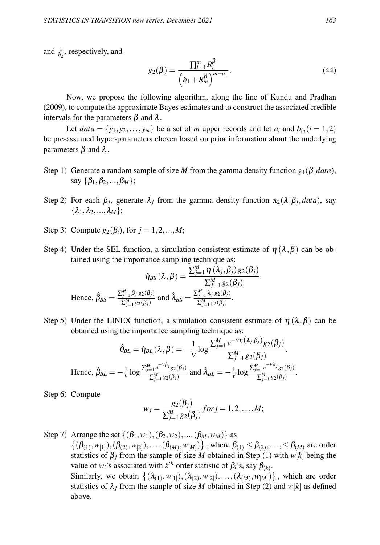and  $\frac{1}{b_2}$ , respectively, and

$$
g_2(\beta) = \frac{\prod_{i=1}^m R_i^{\beta}}{\left(b_1 + R_m^{\beta}\right)^{m+a_1}}.
$$
\n(44)

Now, we propose the following algorithm, along the line of Kundu and Pradhan (2009), to compute the approximate Bayes estimates and to construct the associated credible intervals for the parameters  $\beta$  and  $\lambda$ .

Let  $data = \{y_1, y_2, \ldots, y_m\}$  be a set of *m* upper records and let  $a_i$  and  $b_i$ ,  $(i = 1, 2)$ be pre-assumed hyper-parameters chosen based on prior information about the underlying parameters  $β$  and  $λ$ .

- Step 1) Generate a random sample of size *M* from the gamma density function  $g_1(\beta|data)$ , say  $\{\beta_1, \beta_2, ..., \beta_M\};$
- Step 2) For each  $\beta_j$ , generate  $\lambda_j$  from the gamma density function  $\pi_2(\lambda|\beta_j, data)$ , say  $\{\lambda_1, \lambda_2, ..., \lambda_M\};$
- Step 3) Compute  $g_2(\beta_i)$ , for  $j = 1, 2, ..., M$ ;
- Step 4) Under the SEL function, a simulation consistent estimate of  $\eta(\lambda,\beta)$  can be obtained using the importance sampling technique as:

$$
\hat{\eta}_{BS}(\lambda,\beta) = \frac{\sum_{j=1}^{M} \eta(\lambda_j,\beta_j) g_2(\beta_j)}{\sum_{j=1}^{M} g_2(\beta_j)}.
$$
  
Hence,  $\hat{\beta}_{BS} = \frac{\sum_{j=1}^{M} \beta_j g_2(\beta_j)}{\sum_{j=1}^{M} g_2(\beta_j)}$  and  $\hat{\lambda}_{BS} = \frac{\sum_{j=1}^{M} \lambda_j g_2(\beta_j)}{\sum_{j=1}^{M} g_2(\beta_j)}$ .

Step 5) Under the LINEX function, a simulation consistent estimate of  $\eta(\lambda,\beta)$  can be obtained using the importance sampling technique as:

$$
\hat{\theta}_{BL} = \hat{\eta}_{BL}(\lambda, \beta) = -\frac{1}{\nu} \log \frac{\sum_{j=1}^{M} e^{-\nu \eta(\lambda_j, \beta_j)} g_2(\beta_j)}{\sum_{j=1}^{M} g_2(\beta_j)}.
$$
  
Hence,  $\hat{\beta}_{BL} = -\frac{1}{\nu} \log \frac{\sum_{j=1}^{M} e^{-\nu \beta_j} g_2(\beta_j)}{\sum_{j=1}^{M} g_2(\beta_j)}$  and  $\hat{\lambda}_{BL} = -\frac{1}{\nu} \log \frac{\sum_{j=1}^{M} e^{-\nu \lambda_j} g_2(\beta_j)}{\sum_{j=1}^{M} g_2(\beta_j)}$ .

Step 6) Compute

$$
w_j = \frac{g_2(\beta_j)}{\sum_{j=1}^M g_2(\beta_j)} for j = 1, 2, ..., M;
$$

Step 7) Arrange the set  $\{(\beta_1, w_1),(\beta_2, w_2),...,(\beta_M, w_M)\}\$  as  $\{(\beta_{(1)}, w_{[1]}),(\beta_{(2)}, w_{[2]}),\ldots,(\beta_{(M)}, w_{[M]})\}$ , where  $\beta_{(1)} \leq \beta_{(2)},\ldots, \leq \beta_{(M)}$  are order statistics of  $\beta_j$  from the sample of size *M* obtained in Step (1) with *w*[*k*] being the value of  $w_i$ 's associated with  $k^{th}$  order statistic of  $\beta_i$ 's, say  $\beta_{(k)}$ . Similarly, we obtain  $\{(\lambda_{(1)}, w_{[1]}), (\lambda_{(2)}, w_{[2]}), \ldots, (\lambda_{(M)}, w_{[M]})\}$ , which are order statistics of  $\lambda_j$  from the sample of size *M* obtained in Step (2) and  $w[k]$  as defined above.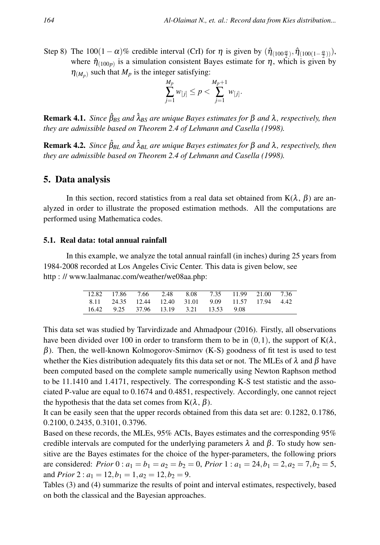Step 8) The 100(1 –  $\alpha$ )% credible interval (CrI) for  $\eta$  is given by  $(\hat{\eta}_{(100\frac{\alpha}{2})}, \hat{\eta}_{(100(1-\frac{\alpha}{2}))})$ , where  $\hat{\eta}_{(100p)}$  is a simulation consistent Bayes estimate for  $\eta$ , which is given by  $\eta_{(M_p)}$  such that  $M_p$  is the integer satisfying:

$$
\sum_{j=1}^{M_p} w_{[j]} \le p < \sum_{j=1}^{M_p+1} w_{[j]}.
$$

**Remark 4.1.** *Since*  $\hat{\beta}_{BS}$  *and*  $\hat{\lambda}_{BS}$  *are unique Bayes estimates for*  $\beta$  *and*  $\lambda$ *, respectively, then they are admissible based on Theorem 2.4 of Lehmann and Casella (1998).*

**Remark 4.2.** *Since*  $\hat{\beta}_{BL}$  *and*  $\hat{\lambda}_{BL}$  *are unique Bayes estimates for*  $\beta$  *and*  $\lambda$ *, respectively, then they are admissible based on Theorem 2.4 of Lehmann and Casella (1998).*

### 5. Data analysis

In this section, record statistics from a real data set obtained from  $K(\lambda, \beta)$  are analyzed in order to illustrate the proposed estimation methods. All the computations are performed using Mathematica codes.

#### 5.1. Real data: total annual rainfall

In this example, we analyze the total annual rainfall (in inches) during 25 years from 1984-2008 recorded at Los Angeles Civic Center. This data is given below, see http : // www.laalmanac.com/weather/we08aa.php:

|  | 12.82 17.86 7.66 2.48 8.08 7.35 11.99 21.00 7.36   |  |  |  |
|--|----------------------------------------------------|--|--|--|
|  | 8.11 24.35 12.44 12.40 31.01 9.09 11.57 17.94 4.42 |  |  |  |
|  | 16.42 9.25 37.96 13.19 3.21 13.53 9.08             |  |  |  |

This data set was studied by Tarvirdizade and Ahmadpour (2016). Firstly, all observations have been divided over 100 in order to transform them to be in  $(0,1)$ , the support of  $K(\lambda)$ ,  $\beta$ ). Then, the well-known Kolmogorov-Smirnov (K-S) goodness of fit test is used to test whether the Kies distribution adequately fits this data set or not. The MLEs of  $\lambda$  and  $\beta$  have been computed based on the complete sample numerically using Newton Raphson method to be 11.1410 and 1.4171, respectively. The corresponding K-S test statistic and the associated P-value are equal to 0.1674 and 0.4851, respectively. Accordingly, one cannot reject the hypothesis that the data set comes from  $K(\lambda, \beta)$ .

It can be easily seen that the upper records obtained from this data set are: 0.1282, 0.1786, 0.2100, 0.2435, 0.3101, 0.3796.

Based on these records, the MLEs, 95% ACIs, Bayes estimates and the corresponding 95% credible intervals are computed for the underlying parameters  $\lambda$  and  $\beta$ . To study how sensitive are the Bayes estimates for the choice of the hyper-parameters, the following priors are considered: *Prior*  $0: a_1 = b_1 = a_2 = b_2 = 0$ , *Prior*  $1: a_1 = 24$ ,  $b_1 = 2$ ,  $a_2 = 7$ ,  $b_2 = 5$ , and *Prior* 2 :  $a_1 = 12, b_1 = 1, a_2 = 12, b_2 = 9$ .

Tables (3) and (4) summarize the results of point and interval estimates, respectively, based on both the classical and the Bayesian approaches.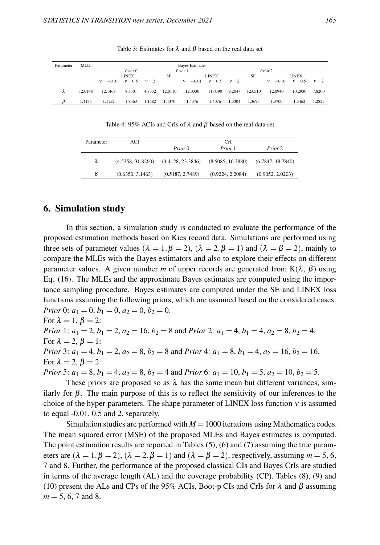| Parameter | MLE.    |              |           |         |         | <b>Baves Estimates</b> |           |         |         |             |           |         |
|-----------|---------|--------------|-----------|---------|---------|------------------------|-----------|---------|---------|-------------|-----------|---------|
|           |         |              | Prior 0   |         |         | Prior 1                |           |         |         |             |           |         |
|           |         | <b>LINEX</b> |           |         | SE.     | LINEX                  |           |         | SE.     | LINEX       |           |         |
|           |         | $v = -0.01$  | $v = 0.5$ | $v = 2$ |         | $v = -0.01$            | $v = 0.5$ | $v = 2$ |         | $v = -0.01$ | $v = 0.5$ | $v = 2$ |
|           | 12.0148 | 12.1468      | 8.3301    | 4.8332  | 12.0110 | 12.0330                | 11.0390   | 9.2047  | 12.0510 | 12.0940     | 10.2930   | 7.8200  |
|           | 1.4135  | 1.4152       | 1.3363    | 1.1582  | 1.4370  | 1.4376                 | 1.4076    | 1.3304  | 1.3695  | 1.3700      | 1.3462    | 1.2823  |

Table 3: Estimates for  $\lambda$  and  $\beta$  based on the real data set

Table 4: 95% ACIs and CrIs of  $\lambda$  and  $\beta$  based on the real data set

| Parameter | ACI               |                   | CrI               |                   |  |  |
|-----------|-------------------|-------------------|-------------------|-------------------|--|--|
|           |                   | Prior 0           | Prior 1           | Prior 2           |  |  |
| λ         | (4.5358, 31.8260) | (4.4128, 23.3846) | (8.5085, 16.3880) | (6.7847, 18.7840) |  |  |
|           | (0.6350, 3.1463)  | (0.5187, 2.7489)  | (0.9224, 2.2084)  | (0.9052, 2.0203)  |  |  |

### 6. Simulation study

In this section, a simulation study is conducted to evaluate the performance of the proposed estimation methods based on Kies record data. Simulations are performed using three sets of parameter values ( $\lambda = 1, \beta = 2$ ), ( $\lambda = 2, \beta = 1$ ) and ( $\lambda = \beta = 2$ ), mainly to compare the MLEs with the Bayes estimators and also to explore their effects on different parameter values. A given number *m* of upper records are generated from  $K(\lambda, \beta)$  using Eq. (16). The MLEs and the approximate Bayes estimates are computed using the importance sampling procedure. Bayes estimates are computed under the SE and LINEX loss functions assuming the following priors, which are assumed based on the considered cases: *Prior* 0:  $a_1 = 0, b_1 = 0, a_2 = 0, b_2 = 0.$ For  $\lambda = 1, \beta = 2$ : *Prior* 1:  $a_1 = 2$ ,  $b_1 = 2$ ,  $a_2 = 16$ ,  $b_2 = 8$  and *Prior* 2:  $a_1 = 4$ ,  $b_1 = 4$ ,  $a_2 = 8$ ,  $b_2 = 4$ . For  $\lambda = 2$ ,  $\beta = 1$ : *Prior* 3:  $a_1 = 4$ ,  $b_1 = 2$ ,  $a_2 = 8$ ,  $b_2 = 8$  and *Prior* 4:  $a_1 = 8$ ,  $b_1 = 4$ ,  $a_2 = 16$ ,  $b_2 = 16$ . For  $\lambda = 2$ ,  $\beta = 2$ : *Prior* 5:  $a_1 = 8$ ,  $b_1 = 4$ ,  $a_2 = 8$ ,  $b_2 = 4$  and *Prior* 6:  $a_1 = 10$ ,  $b_1 = 5$ ,  $a_2 = 10$ ,  $b_2 = 5$ . These priors are proposed so as  $\lambda$  has the same mean but different variances, sim-

ilarly for  $\beta$ . The main purpose of this is to reflect the sensitivity of our inferences to the choice of the hyper-parameters. The shape parameter of LINEX loss function ν is assumed to equal -0.01, 0.5 and 2, separately.

Simulation studies are performed with  $M = 1000$  iterations using Mathematica codes. The mean squared error (MSE) of the proposed MLEs and Bayes estimates is computed. The point estimation results are reported in Tables (5), (6) and (7) assuming the true parameters are  $(\lambda = 1, \beta = 2)$ ,  $(\lambda = 2, \beta = 1)$  and  $(\lambda = \beta = 2)$ , respectively, assuming  $m = 5, 6$ , 7 and 8. Further, the performance of the proposed classical CIs and Bayes CrIs are studied in terms of the average length (AL) and the coverage probability (CP). Tables (8), (9) and (10) present the ALs and CPs of the 95% ACIs, Boot-p CIs and CrIs for  $\lambda$  and  $\beta$  assuming  $m = 5, 6, 7$  and 8.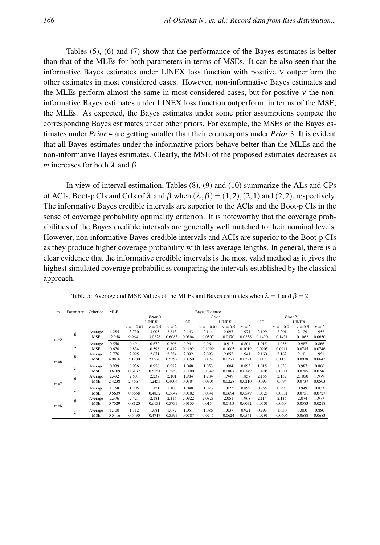Tables (5), (6) and (7) show that the performance of the Bayes estimates is better than that of the MLEs for both parameters in terms of MSEs. It can be also seen that the informative Bayes estimates under LINEX loss function with positive  $\nu$  outperform the other estimates in most considered cases. However, non-informative Bayes estimates and the MLEs perform almost the same in most considered cases, but for positive  $\nu$  the noninformative Bayes estimates under LINEX loss function outperform, in terms of the MSE, the MLEs. As expected, the Bayes estimates under some prior assumptions compete the corresponding Bayes estimates under other priors. For example, the MSEs of the Bayes estimates under *Prior* 4 are getting smaller than their counterparts under *Prior* 3. It is evident that all Bayes estimates under the informative priors behave better than the MLEs and the non-informative Bayes estimates. Clearly, the MSE of the proposed estimates decreases as *m* increases for both  $\lambda$  and  $\beta$ .

In view of interval estimation, Tables (8), (9) and (10) summarize the ALs and CPs of ACIs, Boot-p CIs and CrIs of  $\lambda$  and  $\beta$  when  $(\lambda, \beta) = (1, 2), (2, 1)$  and  $(2, 2)$ , respectively. The informative Bayes credible intervals are superior to the ACIs and the Boot-p CIs in the sense of coverage probability optimality criterion. It is noteworthy that the coverage probabilities of the Bayes credible intervals are generally well matched to their nominal levels. However, non informative Bayes credible intervals and ACIs are superior to the Boot-p CIs as they produce higher coverage probability with less average lengths. In general, there is a clear evidence that the informative credible intervals is the most valid method as it gives the highest simulated coverage probabilities comparing the intervals established by the classical approach.

| m     | Parameter | Criterion  | MLE.   |             |              |         |        | <b>Bayes Estimates</b> |           |         |                     |                    |           |         |
|-------|-----------|------------|--------|-------------|--------------|---------|--------|------------------------|-----------|---------|---------------------|--------------------|-----------|---------|
|       |           |            |        |             | Prior 0      |         |        | Prior 1                |           |         |                     | Prior <sub>2</sub> |           |         |
|       |           |            |        |             | <b>LINEX</b> |         | SE.    | <b>LINEX</b>           |           |         | SE.<br><b>LINEX</b> |                    |           |         |
|       |           |            |        | $v = -0.01$ | $v = 0.5$    | $v = 2$ |        | $v = -0.01$            | $v = 0.5$ | $v = 2$ |                     | $v = -0.01$        | $v = 0.5$ | $v = 2$ |
|       | β         | Average    | 4.285  | 3.730       | 3.005        | 2.813   | 2.143  | 2.144                  | 2.097     | 1.971   | 2.199               | 2.201              | 2.129     | 1.952   |
| $m=5$ |           | <b>MSE</b> | 12.258 | 9.9641      | 3.0226       | 0.6083  | 0.0504 | 0.0507                 | 0.0370    | 0.0236  | 0.1420              | 0.1431             | 0.1062    | 0.0650  |
|       | λ         | Average    | 0.550  | 0.491       | 0.672        | 0.808   | 0.941  | 0.961                  | 0.913     | 0.804   | 1.015               | 1.038              | 0.987     | 0.866   |
|       |           | <b>MSE</b> | 0.670  | 0.834       | 0.598        | 0.412   | 0.1192 | 0.1099                 | 0.1005    | 0.1019  | 0.0905              | 0.0911             | 0.0785    | 0.0746  |
|       | $\beta$   | Average    | 2.776  | 2.995       | 2.671        | 2.324   | 2.092  | 2.093                  | 2.052     | 1.941   | 2.160               | 2.162              | 2.101     | 1.951   |
| $m=6$ |           | <b>MSE</b> | 4.9816 | 5.1280      | 2.0570       | 0.5392  | 0.0350 | 0.0352                 | 0.0271    | 0.0221  | 0.1177              | 0.1183             | 0.0938    | 0.0642  |
|       | λ         | Average    | 0.939  | 0.936       | 0.950        | 0.982   | 1.048  | 1.053                  | 1.004     | 0.893   | 1.015               | 1.038              | 0.987     | 0.866   |
|       |           | <b>MSE</b> | 0.6109 | 0.6132      | 0.5151       | 0.3858  | 0.1100 | 0.1049                 | 0.0887    | 0.0749  | 0.0905              | 0.0911             | 0.0785    | 0.0746  |
|       | $\beta$   | Average    | 2.492  | 2.501       | 2.237        | 2.101   | 1.984  | 1.984                  | 1.949     | 1.857   | 2.155               | 2.157              | 2.1050    | 1.979   |
| $m=7$ |           | <b>MSE</b> | 2.4238 | 2.4667      | 1.2455       | 0.4004  | 0.0304 | 0.0305                 | 0.0228    | 0.0210  | 0.093               | 0.094              | 0.0737    | 0.0503  |
|       | λ         | Average    | 1.158  | 1.205       | 1.121        | 1.108   | 1.048  | 1.073                  | 1.023     | 0.899   | 0.955               | 0.998              | 0.949     | 0.833   |
|       |           | <b>MSE</b> | 0.5639 | 0.5658      | 0.4832       | 0.3647  | 0.0802 | 0.0841                 | 0.0694    | 0.0549  | 0.0828              | 0.0831             | 0.0751    | 0.0727  |
|       | $\beta$   | Average    | 2.376  | 2.421       | 2.181        | 2.115   | 2.0922 | 2.0828                 | 2.051     | 1.968   | 2.114               | 2.115              | 2.074     | 1.977   |
| $m=8$ |           | <b>MSE</b> | 0.7529 | 0.8120      | 0.6131       | 0.3737  | 0.0153 | 0.0154                 | 0.0103    | 0.0072  | 0.0501              | 0.0504             | 0.0383    | 0.0218  |
|       | λ         | Average    | 1.100  | 1.112       | 1.081        | 1.072   | 1.051  | 1.086                  | 1.037     | 0.921   | 0.993               | 1.050              | 1.000     | 0.880   |
|       |           | <b>MSE</b> | 0.5416 | 0.5430      | 0.4717       | 0.3597  | 0.0787 | 0.0745                 | 0.0624    | 0.0541  | 0.0791              | 0.0606             | 0.0688    | 0.0683  |

Table 5: Average and MSE Values of the MLEs and Bayes estimates when  $\lambda = 1$  and  $\beta = 2$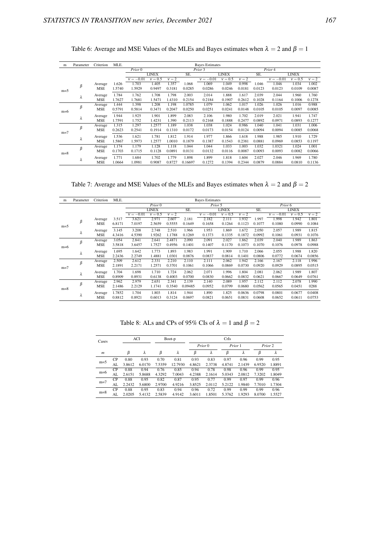| m     | Parameter | Criterion  | MLE.   |                    |              |         |         | <b>Bayes Estimates</b> |              |         |        |             |              |         |
|-------|-----------|------------|--------|--------------------|--------------|---------|---------|------------------------|--------------|---------|--------|-------------|--------------|---------|
|       |           |            |        | Prior <sub>0</sub> |              |         |         | Prior 3                |              |         |        | Prior 4     |              |         |
|       |           |            |        |                    | <b>LINEX</b> |         | SE.     |                        | <b>LINEX</b> |         | SE.    |             | <b>LINEX</b> |         |
|       |           |            |        | $v = -0.01$        | $v = 0.5$    | $v = 2$ |         | $v = -0.01$            | $v = 0.5$    | $v = 2$ |        | $v = -0.01$ | $v = 0.5$    | $v = 2$ |
|       | β         | Average    | 1.626  | 1.703              | 1.405        | 1.357   | 1.068   | 1.069                  | 1.049        | 0.998   | 1.046  | 1.046       | 1.034        | 1.002   |
| $m=5$ |           | <b>MSE</b> | 1.5740 | 1.5929             | 0.9497       | 0.3181  | 0.0285  | 0.0286                 | 0.0246       | 0.0181  | 0.0123 | 0.0123      | 0.0109       | 0.0087  |
|       | λ         | Average    | 1.784  | 1.762              | 1.708        | 1.798   | 2.003   | 2.014                  | 1.888        | 1.617   | 2.039  | 2.044       | 1.960        | 1.760   |
|       |           | <b>MSE</b> | 1.7627 | 1.7681             | 1.5471       | 1.4310  | 0.2154  | 0.2184                 | 0.1907       | 0.2612  | 0.1028 | 0.1164      | 0.1006       | 0.1278  |
|       | β         | Average    | 1.444  | 1.398              | 1.208        | 1.198   | 1.0785  | 1.079                  | 1.062        | 1.017   | 1.026  | 1.026       | 1.016        | 0.988   |
| $m=6$ |           | <b>MSE</b> | 0.5791 | 0.5814             | 0.3471       | 0.2047  | 0.0250  | 0.0251                 | 0.0241       | 0.0148  | 0.0105 | 0.0105      | 0.0097       | 0.0085  |
|       | λ         | Average    | 1.944  | 1.925              | 1.901        | 1.899   | 2.083   | 2.106                  | 1.980        | 1.702   | 2.019  | 2.021       | 1.941        | 1.747   |
|       |           | <b>MSE</b> | 1.7591 | 1.752              | 1.4231       | 1.390   | 0.2113  | 0.2168                 | 0.1888       | 0.2477  | 0.0892 | 0.0971      | 0.0893       | 0.1277  |
|       | β         | Average    | 1.315  | 1.297              | 1.2577       | 1.189   | 1.038   | 1.038                  | 1.024        | 0.986   | 1.040  | 1.041       | 1.031        | 1.006   |
| $m=7$ |           | <b>MSE</b> | 0.2623 | 0.2541             | 0.1914       | 0.1310  | 0.0172  | 0.0173                 | 0.0154       | 0.0124  | 0.0094 | 0.0094      | 0.0085       | 0.0068  |
|       | λ         | Average    | 1.536  | 1.621              | 1.781        | 1.812   | 1.914   | 1.977                  | 1.866        | 1.618   | 1.988  | 1.985       | 1.910        | 1.729   |
|       |           | <b>MSE</b> | 1.5867 | 1.5973             | 1.2577       | 1.0010  | 0.1879  | 0.1387                 | 0.1543       | 0.2381  | 0.0881 | 0.0969      | 0.0853       | 0.1197  |
|       | β         | Average    | 1.174  | 1.179              | 1.128        | 1.118   | 1.044   | 1.044                  | 1.033        | 1.003   | 1.032  | 1.0321      | 1.024        | 1.001   |
|       |           | <b>MSE</b> | 0.1703 | 0.1715             | 0.1128       | 0.0891  | 0.0131  | 0.0132                 | 0.0116       | 0.0087  | 0.0093 | 0.0093      | 0.0082       | 0.0066  |
| $m=8$ |           | Average    | 1.771  | 1.684              | 1.702        | 1.779   | 1.898   | 1.899                  | 1.818        | 1.604   | 2.027  | 2.046       | 1.969        | 1.780   |
|       | λ         | <b>MSE</b> | 1.0664 | 1.0981             | 0.9087       | 0.8727  | 0.16697 | 0.1272                 | 0.1394       | 0.2344  | 0.0879 | 0.0884      | 0.0810       | 0.1136  |

Table 6: Average and MSE Values of the MLEs and Bayes estimates when  $\lambda = 2$  and  $\beta = 1$ 

Table 7: Average and MSE Values of the MLEs and Bayes estimates when  $\lambda = 2$  and  $\beta = 2$ 

| m     | Parameter | Criterion  | MLE.   |             | <b>Bayes Estimates</b> |         |         |              |           |         |                     |             |           |         |
|-------|-----------|------------|--------|-------------|------------------------|---------|---------|--------------|-----------|---------|---------------------|-------------|-----------|---------|
|       |           |            |        |             | Prior <sub>0</sub>     |         |         | Prior 5      |           |         |                     | Prior 6     |           |         |
|       |           |            |        |             | <b>LINEX</b>           |         | SE.     | <b>LINEX</b> |           |         | SE.<br><b>LINEX</b> |             |           |         |
|       |           |            |        | $v = -0.01$ | $v = 0.5$              | $v = 2$ |         | $v = -0.01$  | $v = 0.5$ | $v = 2$ |                     | $v = -0.01$ | $v = 0.5$ | $v = 2$ |
|       | β         | Average    | 3.517  | 3.621       | 2.971                  | 2.607   | 2.181   | 2.182        | 2.111     | 1.932   | 1.997               | 1.998       | 1.942     | 1.801   |
| $m=5$ |           | <b>MSE</b> | 6.8171 | 7.0197      | 2.5659                 | 0.5555  | 0.1649  | 0.1658       | 0.1264    | 0.1123  | 0.1077              | 0.1080      | 0.0990    | 0.1084  |
|       | λ         | Average    | 3.145  | 3.208       | 2.748                  | 2.510   | 1.966   | 1.953        | 1.869     | 1.672   | 2.050               | 2.057       | 1.989     | 1.815   |
|       |           | <b>MSE</b> | 4.3416 | 4.5390      | 1.9262                 | 1.1788  | 0.1269  | 0.1373       | 0.1335    | 0.1872  | 0.0992              | 0.1061      | 0.0931    | 0.1076  |
|       | β         | Average    | 3.054  | 2.841       | 2.641                  | 2.4871  | 2.090   | 2.091        | 2.027     | 1.862   | 2.039               | 2.040       | 1.989     | 1.863   |
| $m=6$ |           | <b>MSE</b> | 3.5818 | 3.6457      | 1.7527                 | 0.4956  | 0.1401  | 0.1407       | 0.1170    | 0.1073  | 0.1070              | 0.1076      | 0.0978    | 0.0988  |
|       | λ         | Average    | 1.695  | 1.642       | 1.773                  | 1.893   | 1.983   | 1.991        | 1.909     | 1.710   | 2.066               | 2.055       | 1.988     | 1.820   |
|       |           | <b>MSE</b> | 2.2436 | 2.2749      | 1.4881                 | 1.0301  | 0.0876  | 0.0837       | 0.0814    | 0.1401  | 0.0806              | 0.0772      | 0.0674    | 0.0856  |
|       | β         | Average    | 2.509  | 2.612       | 2.331                  | 2.210   | 2.110   | 2.111        | 2.062     | 1.942   | 2.166               | 2.167       | 2.118     | 1.996   |
| $m=7$ |           | <b>MSE</b> | 2.1891 | 2.2171      | 1.2571                 | 0.3701  | 0.1061  | 0.1066       | 0.0869    | 0.0730  | 0.0920              | 0.0929      | 0.0895    | 0.0515  |
|       | λ         | Average    | 1.704  | 1.698       | 1.710                  | 1.724   | 2.062   | 2.071        | 1.996     | 1.804   | 2.081               | 2.062       | 1.989     | 1.807   |
|       |           | <b>MSE</b> | 0.8909 | 0.8931      | 0.6138                 | 0.4003  | 0.0700  | 0.0830       | 0.0662    | 0.0832  | 0.0621              | 0.0667      | 0.0649    | 0.0761  |
|       | β         | Average    | 2.962  | 2.979       | 2.651                  | 2.341   | 2.139   | 2.140        | 2.089     | 1.957   | 2.112               | 2.112       | 2.078     | 1.990   |
| $m=8$ |           | <b>MSE</b> | 2.1486 | 2.2129      | 1.1741                 | 0.3540  | 0.09485 | 0.0952       | 0.0799    | 0.0680  | 0.0562              | 0.0565      | 0.0451    | 0288    |
|       | λ         | Average    | 1.7852 | 1.704       | 1.803                  | 1.814   | 1.944   | 1.890        | 1.825     | 0.0636  | 0.0798              | 0.0801      | 0.0677    | 0.0408  |
|       |           | <b>MSE</b> | 0.8812 | 0.8921      | 0.6013                 | 0.3124  | 0.0697  | 0.0821       | 0.0651    | 0.0831  | 0.0608              | 0.0652      | 0.0611    | 0.0753  |

Table 8: ALs and CPs of 95% CIs of  $\lambda = 1$  and  $\beta = 2$ 

| Cases            |                |        | ACI    | Boot-p |         | CrIs   |                    |         |        |        |         |
|------------------|----------------|--------|--------|--------|---------|--------|--------------------|---------|--------|--------|---------|
|                  |                |        |        |        |         |        | Prior <sub>0</sub> | Prior 1 |        |        | Prior 2 |
| $\boldsymbol{m}$ |                | β      | λ      | β      | λ       | β      | λ                  | β       | λ      | β      | λ       |
| $m=5$            | CP             | 0.80   | 0.93   | 0.70   | 0.81    | 0.93   | 0.83               | 0.97    | 0.96   | 0.99   | 0.95    |
|                  | AL             | 3.8612 | 6.0170 | 7.5359 | 12.7930 | 4.8621 | 2.3738             | 4.8741  | 2.1439 | 6.9520 | 1.8891  |
| $m=6$            | <b>CP</b>      | 0.88   | 0.94   | 0.76   | 0.85    | 0.94   | 0.78               | 0.98    | 0.96   | 0.99   | 0.95    |
|                  | AL             | 2.6151 | 5.8688 | 4.3292 | 7.0043  | 4.2388 | 2.1614             | 5.0343  | 2.0812 | 7.3202 | 1.8049  |
| $m=7$            | <b>CP</b>      | 0.88   | 0.95   | 0.82   | 0.87    | 0.95   | 0.77               | 0.99    | 0.97   | 0.99   | 0.96    |
|                  | AL             | 2.2432 | 5.6800 | 2.9700 | 4.9216  | 3.8525 | 2.0112             | 5.2122  | 1.9840 | 7.7010 | 1.7304  |
| $m=8$            | C <sub>P</sub> | 0.88   | 0.95   | 0.83   | 0.94    | 0.96   | 0.72               | 0.99    | 0.99   | 0.99   | 0.96    |
|                  | AL             | 2.0205 | 5.4132 | 2.5839 | 4.9142  | 3.6011 | 1.8501             | 5.3762  | 1.9293 | 8.0700 | 1.5527  |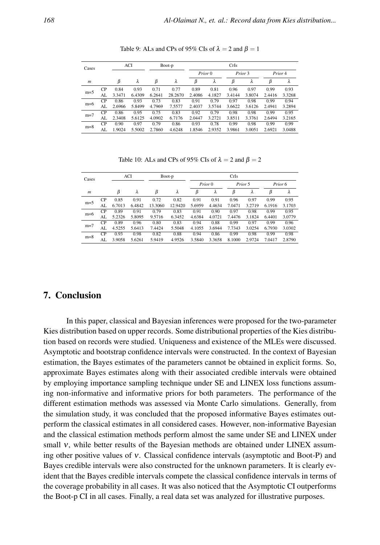| Cases            |           |        | ACI    | Boot-p |         | CrIs   |         |         |        |        |         |  |
|------------------|-----------|--------|--------|--------|---------|--------|---------|---------|--------|--------|---------|--|
|                  |           |        |        |        |         |        | Prior 0 | Prior 3 |        |        | Prior 4 |  |
| $\boldsymbol{m}$ |           | β      | λ      | β      | λ       | β      | λ       | β       | λ      | β      | λ       |  |
| $m=5$            | <b>CP</b> | 0.84   | 0.93   | 0.71   | 0.77    | 0.89   | 0.81    | 0.96    | 0.97   | 0.99   | 0.93    |  |
|                  | AL        | 3.3471 | 6.4309 | 6.2641 | 28.2670 | 2.4086 | 4.1827  | 3.4144  | 3.8074 | 2.4416 | 3.3268  |  |
| $m=6$            | <b>CP</b> | 0.86   | 0.93   | 0.73   | 0.83    | 0.91   | 0.79    | 0.97    | 0.98   | 0.99   | 0.94    |  |
|                  | AL        | 2.6966 | 5.8499 | 4.7969 | 7.5577  | 2.4037 | 3.5744  | 3.6622  | 3.6126 | 2.4941 | 3.2894  |  |
| $m=7$            | CP.       | 0.86   | 0.95   | 0.75   | 0.83    | 0.92   | 0.79    | 0.98    | 0.98   | 0.99   | 0.95    |  |
|                  | AL        | 2.3408 | 5.6125 | 4.0902 | 6.7176  | 2.0447 | 3.2721  | 3.8511  | 3.3761 | 2.6494 | 3.2165  |  |
| $m=8$            | <b>CP</b> | 0.90   | 0.97   | 0.79   | 0.86    | 0.93   | 0.78    | 0.99    | 0.98   | 0.99   | 0.99    |  |
|                  | AL        | 1.9024 | 5.5002 | 2.7860 | 4.6248  | 1.8546 | 2.9352  | 3.9861  | 3.0051 | 2.6921 | 3.0488  |  |

Table 9: ALs and CPs of 95% CIs of  $\lambda = 2$  and  $\beta = 1$ 

Table 10: ALs and CPs of 95% CIs of  $\lambda = 2$  and  $\beta = 2$ 

| Cases            |    |        | ACI    |         | Boot-p  |        |         | CrIs   |         |        |         |
|------------------|----|--------|--------|---------|---------|--------|---------|--------|---------|--------|---------|
|                  |    |        |        |         |         |        | Prior 0 |        | Prior 5 |        | Prior 6 |
| $\boldsymbol{m}$ |    | β      | λ      | β       | λ       | β      | λ       | β      | λ       | β      | λ       |
| $m=5$            | CP | 0.85   | 0.91   | 0.72    | 0.82    | 0.91   | 0.91    | 0.96   | 0.97    | 0.99   | 0.95    |
|                  | AL | 6.7013 | 6.4842 | 13.3060 | 12.9420 | 5.6959 | 4.4634  | 7.0471 | 3.2719  | 6.1916 | 3.1703  |
| $m=6$            | CP | 0.89   | 0.91   | 0.79    | 0.83    | 0.91   | 0.90    | 0.97   | 0.98    | 0.99   | 0.95    |
|                  | AL | 5.2326 | 5.8095 | 9.5716  | 6.3452  | 4.6384 | 4.0721  | 7.4476 | 3.1824  | 6.4401 | 3.0779  |
| $m=7$            | CP | 0.89   | 0.96   | 0.80    | 0.83    | 0.94   | 0.88    | 0.99   | 0.97    | 0.99   | 0.96    |
|                  | AL | 4.5255 | 5.6413 | 7.4424  | 5.5048  | 4.1055 | 3.6944  | 7.7343 | 3.0254  | 6.7930 | 3.0302  |
| $m=8$            | CP | 0.93   | 0.98   | 0.82    | 0.88    | 0.94   | 0.86    | 0.99   | 0.98    | 0.99   | 0.98    |
|                  | AL | 3.9058 | 5.6261 | 5.9419  | 4.9526  | 3.5840 | 3.3658  | 8.1000 | 2.9724  | 7.0417 | 2.8790  |

# 7. Conclusion

In this paper, classical and Bayesian inferences were proposed for the two-parameter Kies distribution based on upper records. Some distributional properties of the Kies distribution based on records were studied. Uniqueness and existence of the MLEs were discussed. Asymptotic and bootstrap confidence intervals were constructed. In the context of Bayesian estimation, the Bayes estimates of the parameters cannot be obtained in explicit forms. So, approximate Bayes estimates along with their associated credible intervals were obtained by employing importance sampling technique under SE and LINEX loss functions assuming non-informative and informative priors for both parameters. The performance of the different estimation methods was assessed via Monte Carlo simulations. Generally, from the simulation study, it was concluded that the proposed informative Bayes estimates outperform the classical estimates in all considered cases. However, non-informative Bayesian and the classical estimation methods perform almost the same under SE and LINEX under small ν, while better results of the Bayesian methods are obtained under LINEX assuming other positive values of ν. Classical confidence intervals (asymptotic and Boot-P) and Bayes credible intervals were also constructed for the unknown parameters. It is clearly evident that the Bayes credible intervals compete the classical confidence intervals in terms of the coverage probability in all cases. It was also noticed that the Asymptotic CI outperforms the Boot-p CI in all cases. Finally, a real data set was analyzed for illustrative purposes.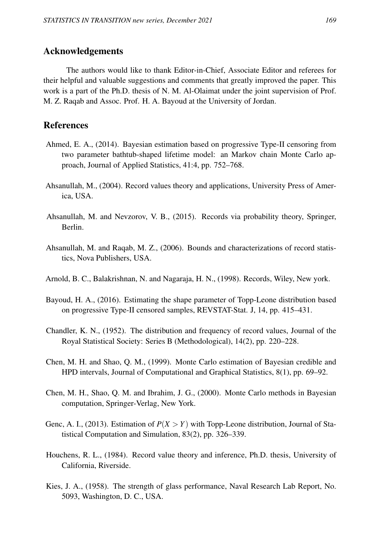### Acknowledgements

The authors would like to thank Editor-in-Chief, Associate Editor and referees for their helpful and valuable suggestions and comments that greatly improved the paper. This work is a part of the Ph.D. thesis of N. M. Al-Olaimat under the joint supervision of Prof. M. Z. Raqab and Assoc. Prof. H. A. Bayoud at the University of Jordan.

## References

- Ahmed, E. A., (2014). Bayesian estimation based on progressive Type-II censoring from two parameter bathtub-shaped lifetime model: an Markov chain Monte Carlo approach, Journal of Applied Statistics, 41:4, pp. 752–768.
- Ahsanullah, M., (2004). Record values theory and applications, University Press of America, USA.
- Ahsanullah, M. and Nevzorov, V. B., (2015). Records via probability theory, Springer, Berlin.
- Ahsanullah, M. and Raqab, M. Z., (2006). Bounds and characterizations of record statistics, Nova Publishers, USA.
- Arnold, B. C., Balakrishnan, N. and Nagaraja, H. N., (1998). Records, Wiley, New york.
- Bayoud, H. A., (2016). Estimating the shape parameter of Topp-Leone distribution based on progressive Type-II censored samples, REVSTAT-Stat. J, 14, pp. 415–431.
- Chandler, K. N., (1952). The distribution and frequency of record values, Journal of the Royal Statistical Society: Series B (Methodological), 14(2), pp. 220–228.
- Chen, M. H. and Shao, Q. M., (1999). Monte Carlo estimation of Bayesian credible and HPD intervals, Journal of Computational and Graphical Statistics, 8(1), pp. 69–92.
- Chen, M. H., Shao, Q. M. and Ibrahim, J. G., (2000). Monte Carlo methods in Bayesian computation, Springer-Verlag, New York.
- Genc, A. I., (2013). Estimation of *P*(*X* > *Y*) with Topp-Leone distribution, Journal of Statistical Computation and Simulation, 83(2), pp. 326–339.
- Houchens, R. L., (1984). Record value theory and inference, Ph.D. thesis, University of California, Riverside.
- Kies, J. A., (1958). The strength of glass performance, Naval Research Lab Report, No. 5093, Washington, D. C., USA.